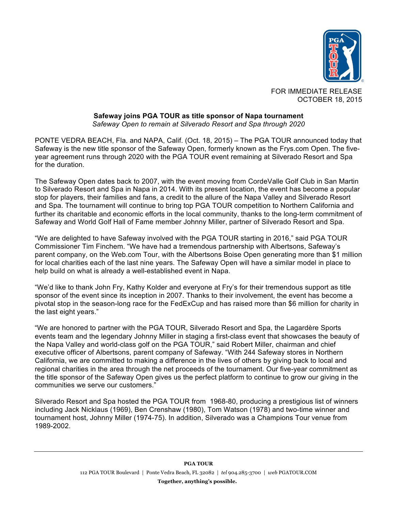

FOR IMMEDIATE RELEASE OCTOBER 18, 2015

#### **Safeway joins PGA TOUR as title sponsor of Napa tournament** *Safeway Open to remain at Silverado Resort and Spa through 2020*

PONTE VEDRA BEACH, Fla. and NAPA, Calif. (Oct. 18, 2015) – The PGA TOUR announced today that Safeway is the new title sponsor of the Safeway Open, formerly known as the Frys.com Open. The fiveyear agreement runs through 2020 with the PGA TOUR event remaining at Silverado Resort and Spa for the duration.

The Safeway Open dates back to 2007, with the event moving from CordeValle Golf Club in San Martin to Silverado Resort and Spa in Napa in 2014. With its present location, the event has become a popular stop for players, their families and fans, a credit to the allure of the Napa Valley and Silverado Resort and Spa. The tournament will continue to bring top PGA TOUR competition to Northern California and further its charitable and economic efforts in the local community, thanks to the long-term commitment of Safeway and World Golf Hall of Fame member Johnny Miller, partner of Silverado Resort and Spa.

"We are delighted to have Safeway involved with the PGA TOUR starting in 2016," said PGA TOUR Commissioner Tim Finchem. "We have had a tremendous partnership with Albertsons, Safeway's parent company, on the Web.com Tour, with the Albertsons Boise Open generating more than \$1 million for local charities each of the last nine years. The Safeway Open will have a similar model in place to help build on what is already a well-established event in Napa.

"We'd like to thank John Fry, Kathy Kolder and everyone at Fry's for their tremendous support as title sponsor of the event since its inception in 2007. Thanks to their involvement, the event has become a pivotal stop in the season-long race for the FedExCup and has raised more than \$6 million for charity in the last eight years."

"We are honored to partner with the PGA TOUR, Silverado Resort and Spa, the Lagardère Sports events team and the legendary Johnny Miller in staging a first-class event that showcases the beauty of the Napa Valley and world-class golf on the PGA TOUR," said Robert Miller, chairman and chief executive officer of Albertsons, parent company of Safeway. "With 244 Safeway stores in Northern California, we are committed to making a difference in the lives of others by giving back to local and regional charities in the area through the net proceeds of the tournament. Our five-year commitment as the title sponsor of the Safeway Open gives us the perfect platform to continue to grow our giving in the communities we serve our customers."

Silverado Resort and Spa hosted the PGA TOUR from 1968-80, producing a prestigious list of winners including Jack Nicklaus (1969), Ben Crenshaw (1980), Tom Watson (1978) and two-time winner and tournament host, Johnny Miller (1974-75). In addition, Silverado was a Champions Tour venue from 1989-2002.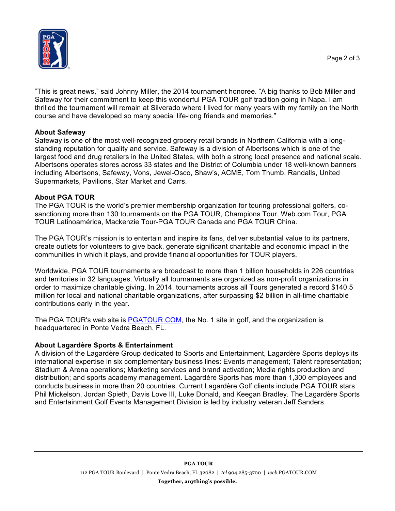

"This is great news," said Johnny Miller, the 2014 tournament honoree. "A big thanks to Bob Miller and Safeway for their commitment to keep this wonderful PGA TOUR golf tradition going in Napa. I am thrilled the tournament will remain at Silverado where I lived for many years with my family on the North course and have developed so many special life-long friends and memories."

## **About Safeway**

Safeway is one of the most well-recognized grocery retail brands in Northern California with a longstanding reputation for quality and service. Safeway is a division of Albertsons which is one of the largest food and drug retailers in the United States, with both a strong local presence and national scale. Albertsons operates stores across 33 states and the District of Columbia under 18 well-known banners including Albertsons, Safeway, Vons, Jewel-Osco, Shaw's, ACME, Tom Thumb, Randalls, United Supermarkets, Pavilions, Star Market and Carrs.

### **About PGA TOUR**

The PGA TOUR is the world's premier membership organization for touring professional golfers, cosanctioning more than 130 tournaments on the PGA TOUR, Champions Tour, Web.com Tour, PGA TOUR Latinoamérica, Mackenzie Tour-PGA TOUR Canada and PGA TOUR China.

The PGA TOUR's mission is to entertain and inspire its fans, deliver substantial value to its partners, create outlets for volunteers to give back, generate significant charitable and economic impact in the communities in which it plays, and provide financial opportunities for TOUR players.

Worldwide, PGA TOUR tournaments are broadcast to more than 1 billion households in 226 countries and territories in 32 languages. Virtually all tournaments are organized as non-profit organizations in order to maximize charitable giving. In 2014, tournaments across all Tours generated a record \$140.5 million for local and national charitable organizations, after surpassing \$2 billion in all-time charitable contributions early in the year.

The PGA TOUR's web site is PGATOUR.COM, the No. 1 site in golf, and the organization is headquartered in Ponte Vedra Beach, FL.

# **About Lagardère Sports & Entertainment**

A division of the Lagardère Group dedicated to Sports and Entertainment, Lagardère Sports deploys its international expertise in six complementary business lines: Events management; Talent representation; Stadium & Arena operations; Marketing services and brand activation; Media rights production and distribution; and sports academy management. Lagardère Sports has more than 1,300 employees and conducts business in more than 20 countries. Current Lagardère Golf clients include PGA TOUR stars Phil Mickelson, Jordan Spieth, Davis Love III, Luke Donald, and Keegan Bradley. The Lagardère Sports and Entertainment Golf Events Management Division is led by industry veteran Jeff Sanders.